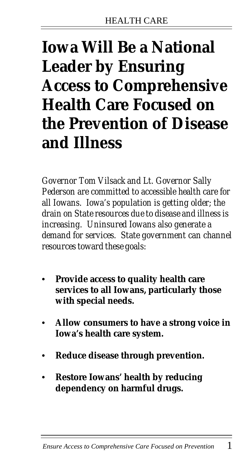### **Iowa Will Be a National Leader by Ensuring Access to Comprehensive Health Care Focused on the Prevention of Disease and Illness**

*Governor Tom Vilsack and Lt. Governor Sally Pederson are committed to accessible health care for all Iowans. Iowa's population is getting older; the drain on State resources due to disease and illness is increasing. Uninsured Iowans also generate a demand for services. State government can channel resources toward these goals:*

- **• Provide access to quality health care services to all Iowans, particularly those with special needs.**
- **• Allow consumers to have a strong voice in Iowa's health care system.**
- **• Reduce disease through prevention.**
- **• Restore Iowans' health by reducing dependency on harmful drugs.**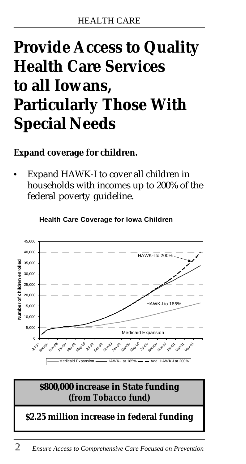### **Provide Access to Quality Health Care Services to all Iowans, Particularly Those With Special Needs**

#### **Expand coverage for children.**

**•** Expand HAWK-I to cover all children in households with incomes up to 200% of the federal poverty guideline.



**Health Care Coverage for Iowa Children**

2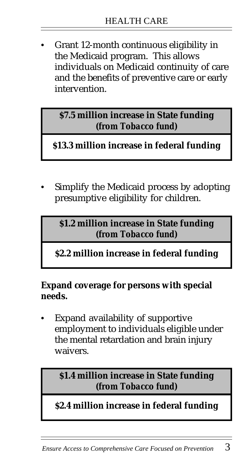**•** Grant 12-month continuous eligibility in the Medicaid program. This allows individuals on Medicaid continuity of care and the benefits of preventive care or early intervention.

**\$7.5 million increase in State funding** *(from Tobacco fund)*

**\$13.3 million increase in federal funding**

**•** Simplify the Medicaid process by adopting presumptive eligibility for children.

**\$1.2 million increase in State funding** *(from Tobacco fund)*

**\$2.2 million increase in federal funding**

**Expand coverage for persons with special needs.**

**•** Expand availability of supportive employment to individuals eligible under the mental retardation and brain injury waivers.

**\$1.4 million increase in State funding** *(from Tobacco fund)*

**\$2.4 million increase in federal funding**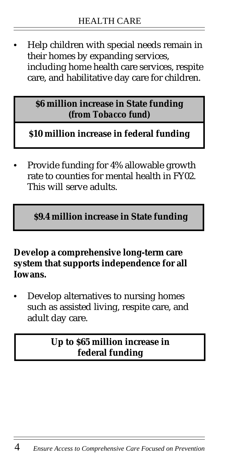**•** Help children with special needs remain in their homes by expanding services, including home health care services, respite care, and habilitative day care for children.

> **\$6 million increase in State funding** *(from Tobacco fund)*

**\$10 million increase in federal funding**

**•** Provide funding for 4% allowable growth rate to counties for mental health in FY02. This will serve adults.

**\$9.4 million increase in State funding**

#### **Develop a comprehensive long-term care system that supports independence for all Iowans.**

**•** Develop alternatives to nursing homes such as assisted living, respite care, and adult day care.

#### **Up to \$65 million increase in federal funding**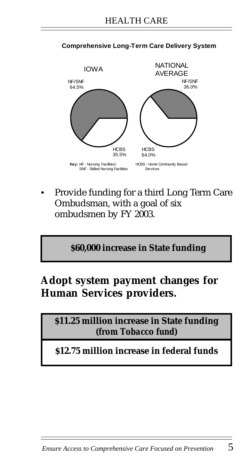

#### **Comprehensive Long-Term Care Delivery System**

**•** Provide funding for a third Long Term Care Ombudsman, with a goal of six ombudsmen by FY 2003.

**\$60,000 increase in State funding**

#### **Adopt system payment changes for Human Services providers.**

**\$11.25 million increase in State funding** *(from Tobacco fund)*

**\$12.75 million increase in federal funds**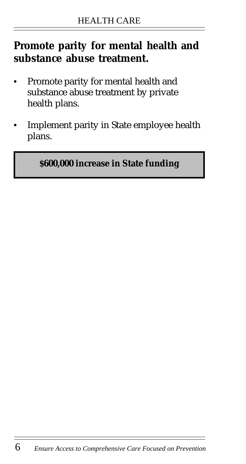### **Promote parity for mental health and substance abuse treatment.**

- **•** Promote parity for mental health and substance abuse treatment by private health plans.
- **•** Implement parity in State employee health plans.

#### **\$600,000 increase in State funding**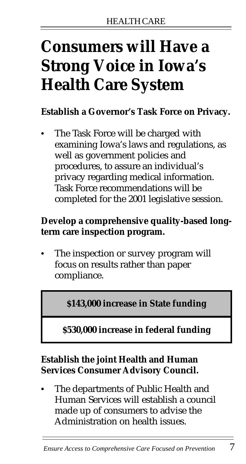## **Consumers will Have a Strong Voice in Iowa's Health Care System**

#### **Establish a Governor's Task Force on Privacy.**

**•** The Task Force will be charged with examining Iowa's laws and regulations, as well as government policies and procedures, to assure an individual's privacy regarding medical information. Task Force recommendations will be completed for the 2001 legislative session.

#### **Develop a comprehensive quality-based longterm care inspection program.**

**•** The inspection or survey program will focus on results rather than paper compliance.

**\$143,000 increase in State funding**

#### **\$530,000 increase in federal funding**

#### **Establish the joint Health and Human Services Consumer Advisory Council.**

**•** The departments of Public Health and Human Services will establish a council made up of consumers to advise the Administration on health issues.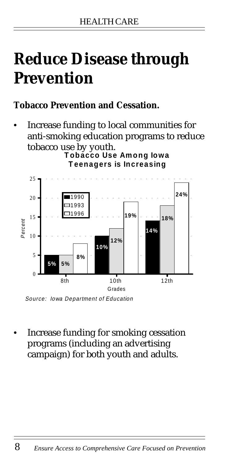### **Reduce Disease through Prevention**

#### **Tobacco Prevention and Cessation.**

**•** Increase funding to local communities for anti-smoking education programs to reduce tobacco use by youth.

**Tobacco Use Among Iowa Teenagers is Increasing**



Source: Iowa Department of Education

**•** Increase funding for smoking cessation programs (including an advertising campaign) for both youth and adults.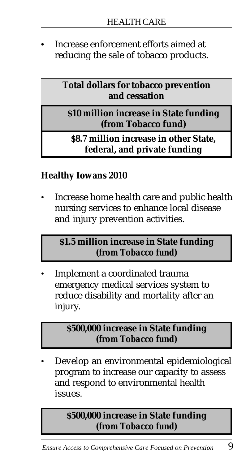**•** Increase enforcement efforts aimed at reducing the sale of tobacco products.

> **Total dollars for tobacco prevention and cessation**

**\$10 million increase in State funding (from Tobacco fund)**

**\$8.7 million increase in other State, federal, and private funding**

#### **Healthy Iowans 2010**

• Increase home health care and public health nursing services to enhance local disease and injury prevention activities.

#### **\$1.5 million increase in State funding** *(from Tobacco fund)*

• Implement a coordinated trauma emergency medical services system to reduce disability and mortality after an injury.

#### **\$500,000 increase in State funding** *(from Tobacco fund)*

• Develop an environmental epidemiological program to increase our capacity to assess and respond to environmental health issues.

#### **\$500,000 increase in State funding** *(from Tobacco fund)*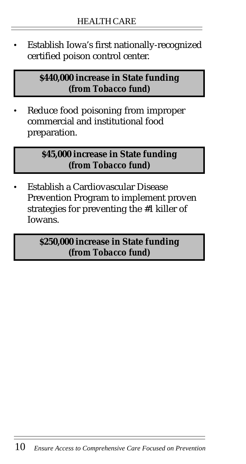• Establish Iowa's first nationally-recognized certified poison control center.

> **\$440,000 increase in State funding** *(from Tobacco fund)*

Reduce food poisoning from improper commercial and institutional food preparation.

> **\$45,000 increase in State funding** *(from Tobacco fund)*

• Establish a Cardiovascular Disease Prevention Program to implement proven strategies for preventing the #1 killer of Iowans.

> **\$250,000 increase in State funding** *(from Tobacco fund)*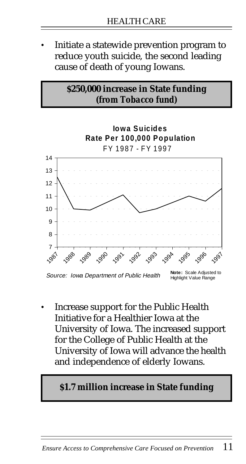• Initiate a statewide prevention program to reduce youth suicide, the second leading cause of death of young Iowans.

#### **\$250,000 increase in State funding** *(from Tobacco fund)*



• Increase support for the Public Health Initiative for a Healthier Iowa at the University of Iowa. The increased support for the College of Public Health at the University of Iowa will advance the health and independence of elderly Iowans.

#### **\$1.7 million increase in State funding**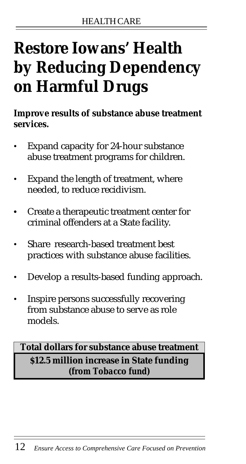# **Restore Iowans' Health by Reducing Dependency on Harmful Drugs**

**Improve results of substance abuse treatment services.**

- Expand capacity for 24-hour substance abuse treatment programs for children.
- Expand the length of treatment, where needed, to reduce recidivism.
- **•** Create a therapeutic treatment center for criminal offenders at a State facility.
- Share research-based treatment best practices with substance abuse facilities.
- Develop a results-based funding approach.
- Inspire persons successfully recovering from substance abuse to serve as role models.

#### **Total dollars for substance abuse treatment \$12.5 million increase in State funding** *(from Tobacco fund)*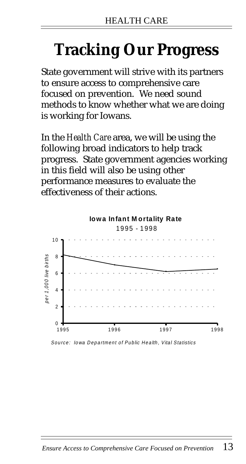# **Tracking Our Progress**

State government will strive with its partners to ensure access to comprehensive care focused on prevention. We need sound methods to know whether what we are doing is working for Iowans.

In the *Health Care* area, we will be using the following broad indicators to help track progress. State government agencies working in this field will also be using other performance measures to evaluate the effectiveness of their actions.



Source: Iowa Department of Public Health, Vital Statistics